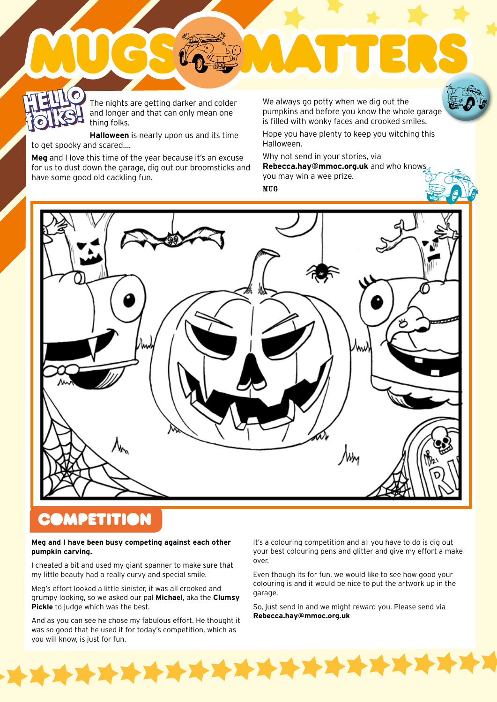### **HELLO folks! HELLO**

The nights are getting darker and colder and longer and that can only mean one thing folks.

**Halloween** is nearly upon us and its time to get spooky and scared….

**Meg** and I love this time of the year because it's an excuse for us to dust down the garage, dig out our broomsticks and have some good old cackling fun.

The nights are getting darker and colder we always go potty when we dig out the<br>and longer and that can only mean one thing folks.<br>In thing folks.<br>In thing folks. pumpkins and before you know the whole garage is filled with wonky faces and crooked smiles.

Hope you have plenty to keep you witching this Halloween.

Why not send in your stories, via

**Rebecca.hay@mmoc.org.uk** and who knows you may win a wee prize.

MUG



## **DMPETITION**

 $\blacktriangleright$ 

#### **Meg and I have been busy competing against each other pumpkin carving.**

I cheated a bit and used my giant spanner to make sure that my little beauty had a really curvy and special smile.

Meg's effort looked a little sinister, it was all crooked and grumpy looking, so we asked our pal **Michael**, aka the **Clumsy Pickle** to judge which was the best.

And as you can see he chose my fabulous effort. He thought it was so good that he used it for today's competition, which as you will know, is just for fun.

**THE TERMS IN THE TERMS** 

It's a colouring competition and all you have to do is dig out your best colouring pens and glitter and give my effort a make over.

Even though its for fun, we would like to see how good your colouring is and it would be nice to put the artwork up in the garage.

So, just send in and we might reward you. Please send via **Rebecca.hay@mmoc.org.uk**

7 2 2 1